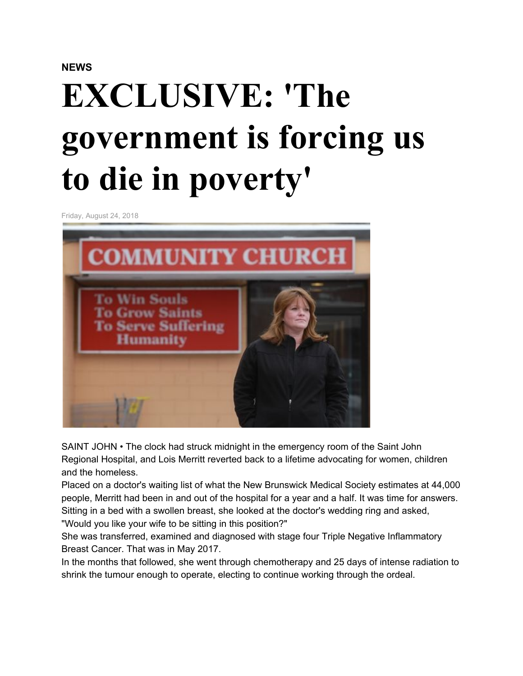## **NEWS**

# **EXCLUSIVE: 'The government is forcing us to die in poverty'**

Friday, August 24, 2018



SAINT JOHN • The clock had struck midnight in the emergency room of the Saint John Regional Hospital, and Lois Merritt reverted back to a lifetime advocating for women, children and the homeless.

Placed on a doctor's waiting list of what the New Brunswick Medical Society estimates at 44,000 people, Merritt had been in and out of the hospital for a year and a half. It was time for answers. Sitting in a bed with a swollen breast, she looked at the doctor's wedding ring and asked, "Would you like your wife to be sitting in this position?"

She was transferred, examined and diagnosed with stage four Triple Negative Inflammatory Breast Cancer. That was in May 2017.

In the months that followed, she went through chemotherapy and 25 days of intense radiation to shrink the tumour enough to operate, electing to continue working through the ordeal.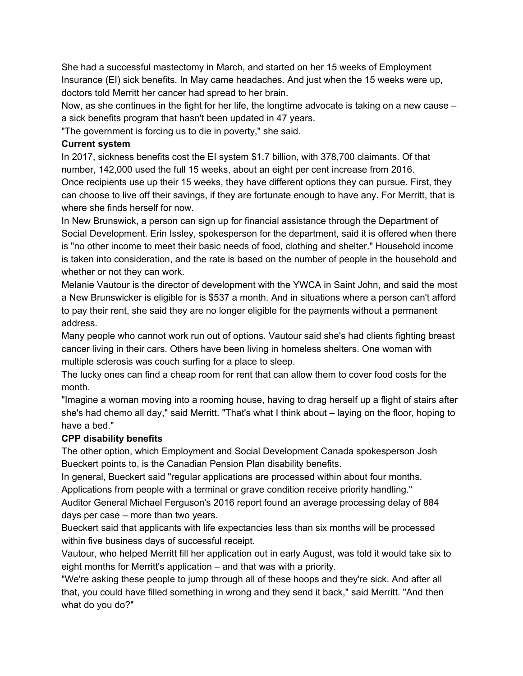She had a successful mastectomy in March, and started on her 15 weeks of Employment Insurance (EI) sick benefits. In May came headaches. And just when the 15 weeks were up, doctors told Merritt her cancer had spread to her brain.

Now, as she continues in the fight for her life, the longtime advocate is taking on a new cause – a sick benefits program that hasn't been updated in 47 years.

"The government is forcing us to die in poverty," she said.

### **Current system**

In 2017, sickness benefits cost the EI system \$1.7 billion, with 378,700 claimants. Of that number, 142,000 used the full 15 weeks, about an eight per cent increase from 2016. Once recipients use up their 15 weeks, they have different options they can pursue. First, they can choose to live off their savings, if they are fortunate enough to have any. For Merritt, that is where she finds herself for now.

In New Brunswick, a person can sign up for financial assistance through the Department of Social Development. Erin Issley, spokesperson for the department, said it is offered when there is "no other income to meet their basic needs of food, clothing and shelter." Household income is taken into consideration, and the rate is based on the number of people in the household and whether or not they can work.

Melanie Vautour is the director of development with the YWCA in Saint John, and said the most a New Brunswicker is eligible for is \$537 a month. And in situations where a person can't afford to pay their rent, she said they are no longer eligible for the payments without a permanent address.

Many people who cannot work run out of options. Vautour said she's had clients fighting breast cancer living in their cars. Others have been living in homeless shelters. One woman with multiple sclerosis was couch surfing for a place to sleep.

The lucky ones can find a cheap room for rent that can allow them to cover food costs for the month.

"Imagine a woman moving into a rooming house, having to drag herself up a flight of stairs after she's had chemo all day," said Merritt. "That's what I think about – laying on the floor, hoping to have a bed."

## **CPP disability benefits**

The other option, which Employment and Social Development Canada spokesperson Josh Bueckert points to, is the Canadian Pension Plan disability benefits.

In general, Bueckert said "regular applications are processed within about four months. Applications from people with a terminal or grave condition receive priority handling."

Auditor General Michael Ferguson's 2016 report found an average processing delay of 884 days per case – more than two years.

Bueckert said that applicants with life expectancies less than six months will be processed within five business days of successful receipt.

Vautour, who helped Merritt fill her application out in early August, was told it would take six to eight months for Merritt's application – and that was with a priority.

"We're asking these people to jump through all of these hoops and they're sick. And after all that, you could have filled something in wrong and they send it back," said Merritt. "And then what do you do?"